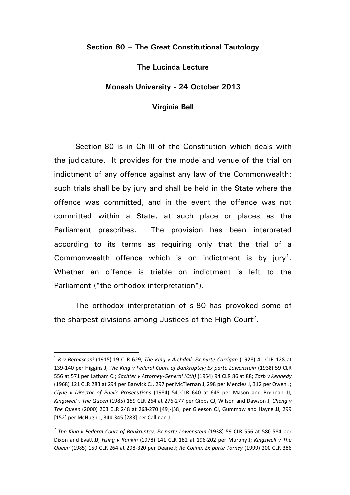## **Section 80 – The Great Constitutional Tautology**

## **The Lucinda Lecture**

## **Monash University - 24 October 2013**

## **Virginia Bell**

Section 80 is in Ch III of the Constitution which deals with the judicature. It provides for the mode and venue of the trial on indictment of any offence against any law of the Commonwealth: such trials shall be by jury and shall be held in the State where the offence was committed, and in the event the offence was not committed within a State, at such place or places as the Parliament prescribes. The provision has been interpreted according to its terms as requiring only that the trial of a Commonwealth offence which is on indictment is by jury<sup>1</sup>. Whether an offence is triable on indictment is left to the Parliament ("the orthodox interpretation").

The orthodox interpretation of s 80 has provoked some of the sharpest divisions among Justices of the High Court<sup>2</sup>.

<sup>1</sup> *R v Bernasconi* (1915) 19 CLR 629; *The King v Archdall; Ex parte Carrigan* (1928) 41 CLR 128 at 139-140 per Higgins J; *The King v Federal Court of Bankruptcy; Ex parte Lowenstein* (1938) 59 CLR 556 at 571 per Latham CJ; *Sachter v Attorney-General (Cth)* (1954) 94 CLR 86 at 88; *Zarb v Kennedy* (1968) 121 CLR 283 at 294 per Barwick CJ, 297 per McTiernan J, 298 per Menzies J, 312 per Owen J; *Clyne v Director of Public Prosecutions* (1984) 54 CLR 640 at 648 per Mason and Brennan JJ; *Kingswell v The Queen* (1985) 159 CLR 264 at 276-277 per Gibbs CJ, Wilson and Dawson J; *Cheng v The Queen* (2000) 203 CLR 248 at 268-270 [49]-[58] per Gleeson CJ, Gummow and Hayne JJ, 299 [152] per McHugh J, 344-345 [283] per Callinan J.

<sup>2</sup> *The King v Federal Court of Bankruptcy; Ex parte Lowenstein* (1938) 59 CLR 556 at 580-584 per Dixon and Evatt JJ; *Hsing v Rankin* (1978) 141 CLR 182 at 196-202 per Murphy J; *Kingswell v The Queen* (1985) 159 CLR 264 at 298-320 per Deane J; *Re Colina; Ex parte Torney* (1999) 200 CLR 386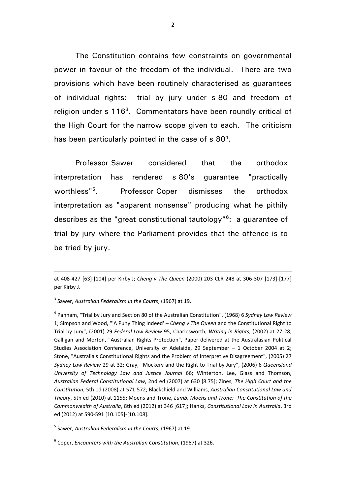The Constitution contains few constraints on governmental power in favour of the freedom of the individual. There are two provisions which have been routinely characterised as guarantees of individual rights: trial by jury under s 80 and freedom of religion under  $s$  116<sup>3</sup>. Commentators have been roundly critical of the High Court for the narrow scope given to each. The criticism has been particularly pointed in the case of s  $80^4$ .

Professor Sawer considered that the orthodox interpretation has rendered s 80's guarantee "practically worthless"<sup>5</sup>. . Professor Coper dismisses the orthodox interpretation as "apparent nonsense" producing what he pithily describes as the "great constitutional tautology"<sup>6</sup>: a guarantee of trial by jury where the Parliament provides that the offence is to be tried by jury.

1

5 Sawer, *Australian Federalism in the Courts*, (1967) at 19.

6 Coper, *Encounters with the Australian Constitution*, (1987) at 326.

at 408-427 [63]-[104] per Kirby J; *Cheng v The Queen* (2000) 203 CLR 248 at 306-307 [173]-[177] per Kirby J.

<sup>3</sup> Sawer, *Australian Federalism in the Courts*, (1967) at 19.

<sup>4</sup> Pannam, "Trial by Jury and Section 80 of the Australian Constitution", (1968) 6 *Sydney Law Review* 1; Simpson and Wood, "'A Puny Thing Indeed' – *Cheng v The Queen* and the Constitutional Right to Trial by Jury", (2001) 29 *Federal Law Review* 95; Charlesworth, *Writing in Rights*, (2002) at 27-28; Galligan and Morton, "Australian Rights Protection", Paper delivered at the Australasian Political Studies Association Conference, University of Adelaide, 29 September – 1 October 2004 at 2; Stone, "Australia's Constitutional Rights and the Problem of Interpretive Disagreement", (2005) 27 *Sydney Law Review* 29 at 32; Gray, "Mockery and the Right to Trial by Jury", (2006) 6 *Queensland University of Technology Law and Justice Journal* 66; Winterton, Lee, Glass and Thomson, *Australian Federal Constitutional Law*, 2nd ed (2007) at 630 [8.75]; Zines, *The High Court and the Constitution*, 5th ed (2008) at 571-572; Blackshield and Williams, *Australian Constitutional Law and Theory*, 5th ed (2010) at 1155; Moens and Trone, *Lumb, Moens and Trone: The Constitution of the Commonwealth of Australia*, 8th ed (2012) at 346 [617]; Hanks, *Constitutional Law in Australia*, 3rd ed (2012) at 590-591 [10.105]-[10.108].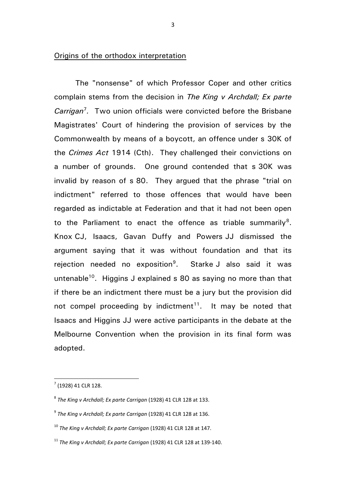## Origins of the orthodox interpretation

The "nonsense" of which Professor Coper and other critics complain stems from the decision in *The King v Archdall; Ex parte*  Carrigan<sup>7</sup>. Two union officials were convicted before the Brisbane Magistrates' Court of hindering the provision of services by the Commonwealth by means of a boycott, an offence under s 30K of the *Crimes Act* 1914 (Cth). They challenged their convictions on a number of grounds. One ground contended that s 30K was invalid by reason of s 80. They argued that the phrase "trial on indictment" referred to those offences that would have been regarded as indictable at Federation and that it had not been open to the Parliament to enact the offence as triable summarily<sup>8</sup>. Knox CJ, Isaacs, Gavan Duffy and Powers JJ dismissed the argument saying that it was without foundation and that its rejection needed no exposition<sup>9</sup>. . Starke J also said it was untenable<sup>10</sup>. Higgins J explained s 80 as saying no more than that if there be an indictment there must be a jury but the provision did not compel proceeding by indictment<sup>11</sup>. It may be noted that Isaacs and Higgins JJ were active participants in the debate at the Melbourne Convention when the provision in its final form was adopted.

 $7$  (1928) 41 CLR 128.

<sup>8</sup> *The King v Archdall; Ex parte Carrigan* (1928) 41 CLR 128 at 133.

<sup>9</sup> *The King v Archdall; Ex parte Carrigan* (1928) 41 CLR 128 at 136.

<sup>10</sup> *The King v Archdall; Ex parte Carrigan* (1928) 41 CLR 128 at 147.

<sup>11</sup> *The King v Archdall; Ex parte Carrigan* (1928) 41 CLR 128 at 139-140.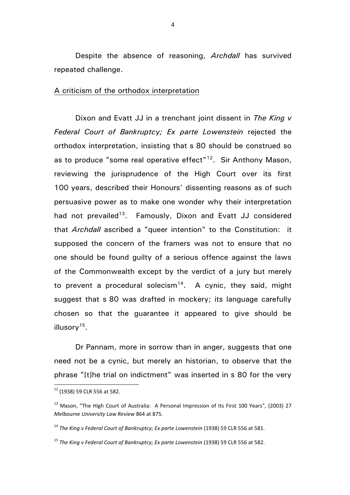Despite the absence of reasoning, *Archdall* has survived repeated challenge.

## A criticism of the orthodox interpretation

Dixon and Evatt JJ in a trenchant joint dissent in *The King v Federal Court of Bankruptcy; Ex parte Lowenstein* rejected the orthodox interpretation, insisting that s 80 should be construed so as to produce "some real operative effect"<sup>12</sup>. Sir Anthony Mason, reviewing the jurisprudence of the High Court over its first 100 years, described their Honours' dissenting reasons as of such persuasive power as to make one wonder why their interpretation had not prevailed<sup>13</sup>. Famously, Dixon and Evatt JJ considered that *Archdall* ascribed a "queer intention" to the Constitution: it supposed the concern of the framers was not to ensure that no one should be found guilty of a serious offence against the laws of the Commonwealth except by the verdict of a jury but merely to prevent a procedural solecism<sup>14</sup>. A cynic, they said, might suggest that s 80 was drafted in mockery; its language carefully chosen so that the guarantee it appeared to give should be illusory<sup>15</sup>.

Dr Pannam, more in sorrow than in anger, suggests that one need not be a cynic, but merely an historian, to observe that the phrase "[t]he trial on indictment" was inserted in s 80 for the very

<sup>12</sup> (1938) 59 CLR 556 at 582.

<sup>&</sup>lt;sup>13</sup> Mason, "The High Court of Australia: A Personal Impression of Its First 100 Years", (2003) 27 *Melbourne University Law Review* 864 at 875.

<sup>14</sup> *The King v Federal Court of Bankruptcy; Ex parte Lowenstein* (1938) 59 CLR 556 at 581.

<sup>15</sup> *The King v Federal Court of Bankruptcy; Ex parte Lowenstein* (1938) 59 CLR 556 at 582.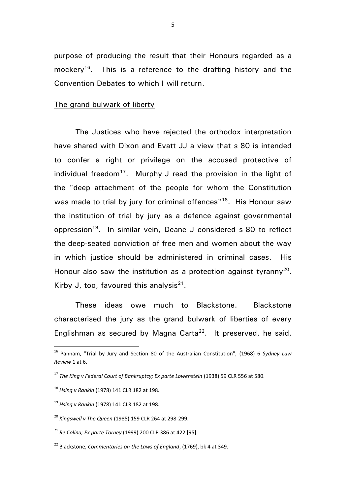purpose of producing the result that their Honours regarded as a mockery<sup>16</sup>. This is a reference to the drafting history and the Convention Debates to which I will return.

## The grand bulwark of liberty

The Justices who have rejected the orthodox interpretation have shared with Dixon and Evatt JJ a view that s 80 is intended to confer a right or privilege on the accused protective of individual freedom<sup>17</sup>. Murphy J read the provision in the light of the "deep attachment of the people for whom the Constitution was made to trial by jury for criminal offences"<sup>18</sup>. His Honour saw the institution of trial by jury as a defence against governmental oppression<sup>19</sup>. In similar vein, Deane J considered s 80 to reflect the deep-seated conviction of free men and women about the way in which justice should be administered in criminal cases. His Honour also saw the institution as a protection against tyranny<sup>20</sup>. Kirby J, too, favoured this analysis<sup>21</sup>.

These ideas owe much to Blackstone. Blackstone characterised the jury as the grand bulwark of liberties of every Englishman as secured by Magna Carta<sup>22</sup>. It preserved, he said,

<sup>16</sup> Pannam, "Trial by Jury and Section 80 of the Australian Constitution", (1968) 6 *Sydney Law Review* 1 at 6.

<sup>17</sup> *The King v Federal Court of Bankruptcy; Ex parte Lowenstein* (1938) 59 CLR 556 at 580.

<sup>18</sup> *Hsing v Rankin* (1978) 141 CLR 182 at 198.

<sup>19</sup> *Hsing v Rankin* (1978) 141 CLR 182 at 198.

<sup>20</sup> *Kingswell v The Queen* (1985) 159 CLR 264 at 298-299.

<sup>21</sup> *Re Colina; Ex parte Torney* (1999) 200 CLR 386 at 422 [95].

<sup>22</sup> Blackstone, *Commentaries on the Laws of England*, (1769), bk 4 at 349.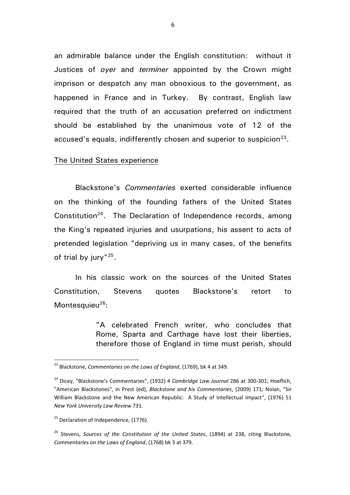an admirable balance under the English constitution: without it Justices of *oyer* and *terminer* appointed by the Crown might imprison or despatch any man obnoxious to the government, as happened in France and in Turkey. By contrast, English law required that the truth of an accusation preferred on indictment should be established by the unanimous vote of 12 of the accused's equals, indifferently chosen and superior to suspicion $^{23}$ .

## The United States experience

Blackstone's *Commentaries* exerted considerable influence on the thinking of the founding fathers of the United States Constitution<sup>24</sup>. The Declaration of Independence records, among the King's repeated injuries and usurpations, his assent to acts of pretended legislation "depriving us in many cases, of the benefits of trial by jury"<sup>25</sup>.

In his classic work on the sources of the United States Constitution, Stevens quotes Blackstone's retort to Montesquieu $^{26}$ :

> "A celebrated French writer, who concludes that Rome, Sparta and Carthage have lost their liberties, therefore those of England in time must perish, should

<sup>23</sup> Blackstone, *Commentaries on the Laws of England*, (1769), bk 4 at 349.

<sup>24</sup> Dicey, "Blackstone's Commentaries", (1932) 4 *Cambridge Law Journal* 286 at 300-301; Hoeflich, "American Blackstones", in Prest (ed), *Blackstone and his Commentaries*, (2009) 171; Nolan, "Sir William Blackstone and the New American Republic: A Study of Intellectual Impact", (1976) 51 *New York University Law Review* 731.

 $25$  Declaration of Independence, (1776).

<sup>26</sup> Stevens, *Sources of the Constitution of the United States*, (1894) at 238, citing Blackstone, *Commentaries on the Laws of England*, (1768) bk 3 at 379.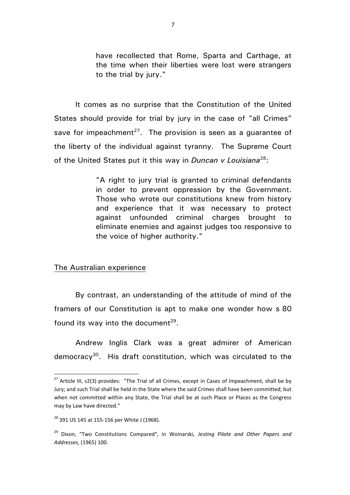have recollected that Rome, Sparta and Carthage, at the time when their liberties were lost were strangers to the trial by jury."

It comes as no surprise that the Constitution of the United States should provide for trial by jury in the case of "all Crimes" save for impeachment<sup>27</sup>. The provision is seen as a guarantee of the liberty of the individual against tyranny. The Supreme Court of the United States put it this way in *Duncan v Louisiana*<sup>28</sup>:

> "A right to jury trial is granted to criminal defendants in order to prevent oppression by the Government. Those who wrote our constitutions knew from history and experience that it was necessary to protect against unfounded criminal charges brought to eliminate enemies and against judges too responsive to the voice of higher authority."

The Australian experience

By contrast, an understanding of the attitude of mind of the framers of our Constitution is apt to make one wonder how s 80 found its way into the document<sup>29</sup>.

Andrew Inglis Clark was a great admirer of American democracy<sup>30</sup>. His draft constitution, which was circulated to the

<sup>&</sup>lt;sup>27</sup> Article III, s2(3) provides: "The Trial of all Crimes, except in Cases of Impeachment, shall be by Jury; and such Trial shall be held in the State where the said Crimes shall have been committed; but when not committed within any State, the Trial shall be at such Place or Places as the Congress may by Law have directed."

<sup>&</sup>lt;sup>28</sup> 391 US 145 at 155-156 per White J (1968).

<sup>29</sup> Dixon, "Two Constitutions Compared", in Woinarski, *Jesting Pilate and Other Papers and Addresses*, (1965) 100.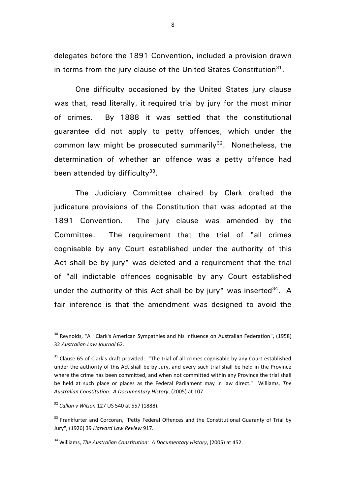delegates before the 1891 Convention, included a provision drawn in terms from the jury clause of the United States Constitution<sup>31</sup>.

One difficulty occasioned by the United States jury clause was that, read literally, it required trial by jury for the most minor of crimes. By 1888 it was settled that the constitutional guarantee did not apply to petty offences, which under the common law might be prosecuted summarily $32$ . Nonetheless, the determination of whether an offence was a petty offence had been attended by difficulty<sup>33</sup>.

The Judiciary Committee chaired by Clark drafted the judicature provisions of the Constitution that was adopted at the 1891 Convention. The jury clause was amended by the Committee. The requirement that the trial of "all crimes cognisable by any Court established under the authority of this Act shall be by jury" was deleted and a requirement that the trial of "all indictable offences cognisable by any Court established under the authority of this Act shall be by jury" was inserted $34$ . A fair inference is that the amendment was designed to avoid the

<sup>32</sup> *Callan v Wilson* 127 US 540 at 557 (1888).

**.** 

 $^{30}$  Reynolds, "A I Clark's American Sympathies and his Influence on Australian Federation", (1958) 32 *Australian Law Journal* 62.

 $31$  Clause 65 of Clark's draft provided: "The trial of all crimes cognisable by any Court established under the authority of this Act shall be by Jury, and every such trial shall be held in the Province where the crime has been committed, and when not committed within any Province the trial shall be held at such place or places as the Federal Parliament may in law direct." Williams, *The Australian Constitution: A Documentary History*, (2005) at 107.

<sup>&</sup>lt;sup>33</sup> Frankfurter and Corcoran, "Petty Federal Offences and the Constitutional Guaranty of Trial by Jury", (1926) 39 *Harvard Law Review* 917.

<sup>34</sup> Williams, *The Australian Constitution: A Documentary History*, (2005) at 452.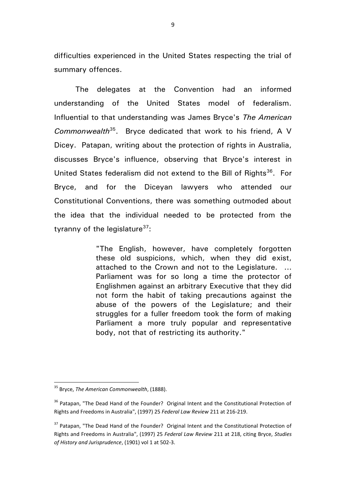difficulties experienced in the United States respecting the trial of summary offences.

The delegates at the Convention had an informed understanding of the United States model of federalism. Influential to that understanding was James Bryce's *The American Commonwealth*<sup>35</sup>. Bryce dedicated that work to his friend, A V Dicey. Patapan, writing about the protection of rights in Australia, discusses Bryce's influence, observing that Bryce's interest in United States federalism did not extend to the Bill of Rights<sup>36</sup>. For Bryce, and for the Diceyan lawyers who attended our Constitutional Conventions, there was something outmoded about the idea that the individual needed to be protected from the tyranny of the legislature $37$ :

> "The English, however, have completely forgotten these old suspicions, which, when they did exist, attached to the Crown and not to the Legislature. ... Parliament was for so long a time the protector of Englishmen against an arbitrary Executive that they did not form the habit of taking precautions against the abuse of the powers of the Legislature; and their struggles for a fuller freedom took the form of making Parliament a more truly popular and representative body, not that of restricting its authority."

<sup>35</sup> Bryce, *The American Commonwealth*, (1888).

<sup>&</sup>lt;sup>36</sup> Patapan, "The Dead Hand of the Founder? Original Intent and the Constitutional Protection of Rights and Freedoms in Australia", (1997) 25 *Federal Law Review* 211 at 216-219.

<sup>&</sup>lt;sup>37</sup> Patapan. "The Dead Hand of the Founder? Original Intent and the Constitutional Protection of Rights and Freedoms in Australia", (1997) 25 *Federal Law Review* 211 at 218, citing Bryce, *Studies of History and Jurisprudence*, (1901) vol 1 at 502-3.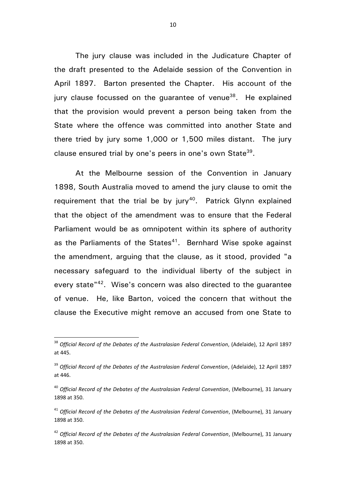The jury clause was included in the Judicature Chapter of the draft presented to the Adelaide session of the Convention in April 1897. Barton presented the Chapter. His account of the jury clause focussed on the guarantee of venue<sup>38</sup>. He explained that the provision would prevent a person being taken from the State where the offence was committed into another State and there tried by jury some 1,000 or 1,500 miles distant. The jury clause ensured trial by one's peers in one's own State<sup>39</sup>.

At the Melbourne session of the Convention in January 1898, South Australia moved to amend the jury clause to omit the requirement that the trial be by jury<sup>40</sup>. Patrick Glynn explained that the object of the amendment was to ensure that the Federal Parliament would be as omnipotent within its sphere of authority as the Parliaments of the States $41$ . Bernhard Wise spoke against the amendment, arguing that the clause, as it stood, provided "a necessary safeguard to the individual liberty of the subject in every state"<sup>42</sup>. Wise's concern was also directed to the guarantee of venue. He, like Barton, voiced the concern that without the clause the Executive might remove an accused from one State to

 $\ddot{\phantom{a}}$ 

<sup>38</sup> *Official Record of the Debates of the Australasian Federal Convention*, (Adelaide), 12 April 1897 at 445.

<sup>39</sup> *Official Record of the Debates of the Australasian Federal Convention*, (Adelaide), 12 April 1897 at 446.

<sup>40</sup> *Official Record of the Debates of the Australasian Federal Convention*, (Melbourne), 31 January 1898 at 350.

<sup>&</sup>lt;sup>41</sup> Official Record of the Debates of the Australasian Federal Convention, (Melbourne), 31 January 1898 at 350.

<sup>42</sup> *Official Record of the Debates of the Australasian Federal Convention*, (Melbourne), 31 January 1898 at 350.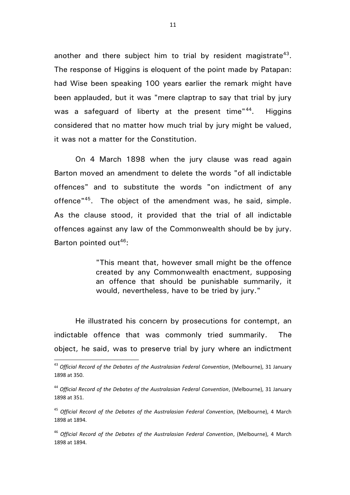another and there subject him to trial by resident magistrate<sup>43</sup>. The response of Higgins is eloquent of the point made by Patapan: had Wise been speaking 100 years earlier the remark might have been applauded, but it was "mere claptrap to say that trial by jury was a safeguard of liberty at the present time"<sup>44</sup>. . Higgins considered that no matter how much trial by jury might be valued, it was not a matter for the Constitution.

On 4 March 1898 when the jury clause was read again Barton moved an amendment to delete the words "of all indictable offences" and to substitute the words "on indictment of any offence"<sup>45</sup>. The object of the amendment was, he said, simple. As the clause stood, it provided that the trial of all indictable offences against any law of the Commonwealth should be by jury. Barton pointed out<sup>46</sup>:

> "This meant that, however small might be the offence created by any Commonwealth enactment, supposing an offence that should be punishable summarily, it would, nevertheless, have to be tried by jury."

He illustrated his concern by prosecutions for contempt, an indictable offence that was commonly tried summarily. The object, he said, was to preserve trial by jury where an indictment

<sup>43</sup> *Official Record of the Debates of the Australasian Federal Convention*, (Melbourne), 31 January 1898 at 350.

<sup>44</sup> *Official Record of the Debates of the Australasian Federal Convention*, (Melbourne), 31 January 1898 at 351.

<sup>45</sup> *Official Record of the Debates of the Australasian Federal Convention*, (Melbourne), 4 March 1898 at 1894.

<sup>46</sup> *Official Record of the Debates of the Australasian Federal Convention*, (Melbourne), 4 March 1898 at 1894.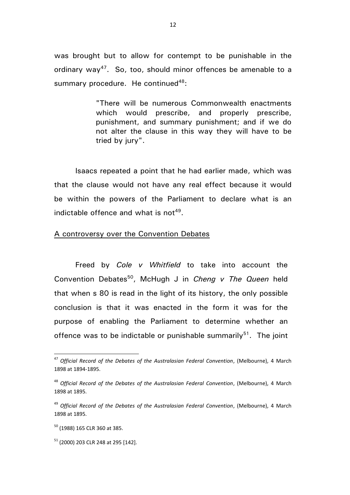was brought but to allow for contempt to be punishable in the ordinary way<sup>47</sup>. So, too, should minor offences be amenable to a summary procedure. He continued $48$ :

> "There will be numerous Commonwealth enactments which would prescribe, and properly prescribe, punishment, and summary punishment; and if we do not alter the clause in this way they will have to be tried by jury".

Isaacs repeated a point that he had earlier made, which was that the clause would not have any real effect because it would be within the powers of the Parliament to declare what is an indictable offence and what is not<sup>49</sup>.

#### A controversy over the Convention Debates

Freed by *Cole v Whitfield* to take into account the Convention Debates<sup>50</sup>, McHugh J in *Cheng v The Queen* held that when s 80 is read in the light of its history, the only possible conclusion is that it was enacted in the form it was for the purpose of enabling the Parliament to determine whether an offence was to be indictable or punishable summarily<sup>51</sup>. The joint

<sup>47</sup> *Official Record of the Debates of the Australasian Federal Convention*, (Melbourne), 4 March 1898 at 1894-1895.

<sup>48</sup> *Official Record of the Debates of the Australasian Federal Convention*, (Melbourne), 4 March 1898 at 1895.

<sup>49</sup> *Official Record of the Debates of the Australasian Federal Convention*, (Melbourne), 4 March 1898 at 1895.

<sup>50</sup> (1988) 165 CLR 360 at 385.

 $51$  (2000) 203 CLR 248 at 295 [142].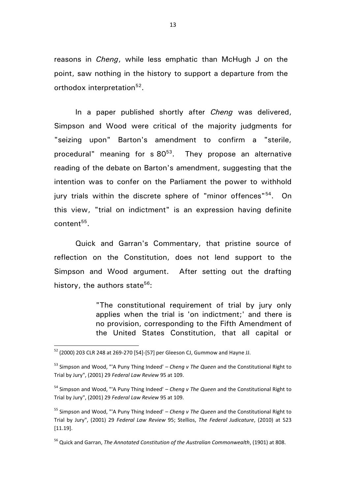reasons in *Cheng*, while less emphatic than McHugh J on the point, saw nothing in the history to support a departure from the orthodox interpretation<sup>52</sup>.

In a paper published shortly after *Cheng* was delivered, Simpson and Wood were critical of the majority judgments for "seizing upon" Barton's amendment to confirm a "sterile, procedural" meaning for  $s$  80<sup>53</sup>. They propose an alternative reading of the debate on Barton's amendment, suggesting that the intention was to confer on the Parliament the power to withhold jury trials within the discrete sphere of "minor offences"<sup>54</sup>. On this view, "trial on indictment" is an expression having definite  $\text{content}^{55}$ .

Quick and Garran's Commentary, that pristine source of reflection on the Constitution, does not lend support to the Simpson and Wood argument. After setting out the drafting history, the authors state<sup>56</sup>:

> "The constitutional requirement of trial by jury only applies when the trial is 'on indictment;' and there is no provision, corresponding to the Fifth Amendment of the United States Constitution, that all capital or

 $\overline{a}$ 

<sup>56</sup> Quick and Garran, *The Annotated Constitution of the Australian Commonwealth*, (1901) at 808.

 $^{52}$  (2000) 203 CLR 248 at 269-270 [54]-[57] per Gleeson CJ, Gummow and Hayne JJ.

<sup>53</sup> Simpson and Wood, "'A Puny Thing Indeed' – *Cheng v The Queen* and the Constitutional Right to Trial by Jury", (2001) 29 *Federal Law Review* 95 at 109.

<sup>54</sup> Simpson and Wood, "'A Puny Thing Indeed' – *Cheng v The Queen* and the Constitutional Right to Trial by Jury", (2001) 29 *Federal Law Review* 95 at 109.

<sup>55</sup> Simpson and Wood, "'A Puny Thing Indeed' – *Cheng v The Queen* and the Constitutional Right to Trial by Jury", (2001) 29 *Federal Law Review* 95; Stellios, *The Federal Judicature*, (2010) at 523 [11.19].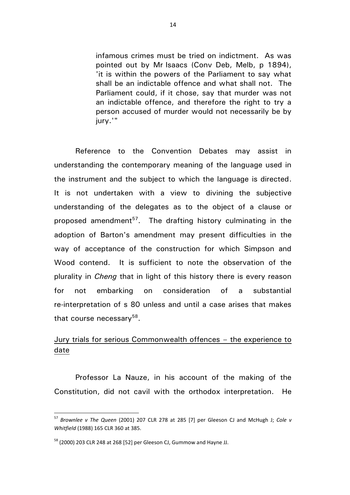infamous crimes must be tried on indictment. As was pointed out by Mr Isaacs (Conv Deb, Melb, p 1894), 'it is within the powers of the Parliament to say what shall be an indictable offence and what shall not. The Parliament could, if it chose, say that murder was not an indictable offence, and therefore the right to try a person accused of murder would not necessarily be by jury.'"

Reference to the Convention Debates may assist in understanding the contemporary meaning of the language used in the instrument and the subject to which the language is directed. It is not undertaken with a view to divining the subjective understanding of the delegates as to the object of a clause or proposed amendment<sup>57</sup>. The drafting history culminating in the adoption of Barton's amendment may present difficulties in the way of acceptance of the construction for which Simpson and Wood contend. It is sufficient to note the observation of the plurality in *Cheng* that in light of this history there is every reason for not embarking on consideration of a substantial re-interpretation of s 80 unless and until a case arises that makes that course necessary<sup>58</sup>.

# Jury trials for serious Commonwealth offences – the experience to date

Professor La Nauze, in his account of the making of the Constitution, did not cavil with the orthodox interpretation. He

<sup>57</sup> *Brownlee v The Queen* (2001) 207 CLR 278 at 285 [7] per Gleeson CJ and McHugh J; *Cole v Whitfield* (1988) 165 CLR 360 at 385.

<sup>58</sup> (2000) 203 CLR 248 at 268 [52] per Gleeson CJ, Gummow and Hayne JJ.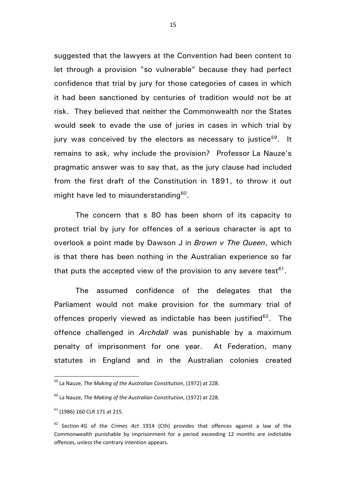suggested that the lawyers at the Convention had been content to let through a provision "so vulnerable" because they had perfect confidence that trial by jury for those categories of cases in which it had been sanctioned by centuries of tradition would not be at risk. They believed that neither the Commonwealth nor the States would seek to evade the use of juries in cases in which trial by jury was conceived by the electors as necessary to justice $^{59}$ . It remains to ask, why include the provision? Professor La Nauze's pragmatic answer was to say that, as the jury clause had included from the first draft of the Constitution in 1891, to throw it out might have led to misunderstanding<sup>60</sup>.

The concern that s 80 has been shorn of its capacity to protect trial by jury for offences of a serious character is apt to overlook a point made by Dawson J in *Brown v The Queen*, which is that there has been nothing in the Australian experience so far that puts the accepted view of the provision to any severe test $61$ .

The assumed confidence of the delegates that the Parliament would not make provision for the summary trial of offences properly viewed as indictable has been justified<sup>62</sup>. The offence challenged in *Archdall* was punishable by a maximum penalty of imprisonment for one year. At Federation, many statutes in England and in the Australian colonies created

<sup>59</sup> La Nauze, *The Making of the Australian Constitution*, (1972) at 228.

<sup>60</sup> La Nauze, *The Making of the Australian Constitution*, (1972) at 228.

<sup>61</sup> (1986) 160 CLR 171 at 215.

<sup>62</sup> Section 4G of the *Crimes Act* 1914 (Cth) provides that offences against a law of the Commonwealth punishable by imprisonment for a period exceeding 12 months are indictable offences, unless the contrary intention appears.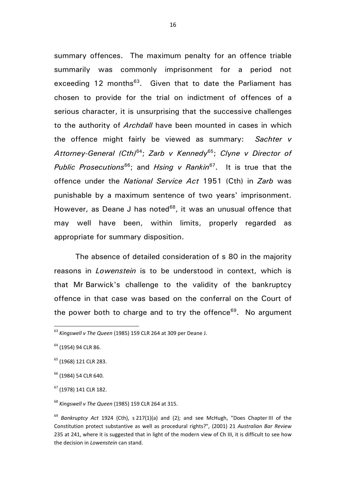summary offences. The maximum penalty for an offence triable summarily was commonly imprisonment for a period not exceeding 12 months<sup>63</sup>. Given that to date the Parliament has chosen to provide for the trial on indictment of offences of a serious character, it is unsurprising that the successive challenges to the authority of *Archdall* have been mounted in cases in which the offence might fairly be viewed as summary: *Sachter v Attorney-General (Cth)*<sup>64</sup>; *Zarb v Kennedy*<sup>65</sup>; *Clyne v Director of Public Prosecutions*<sup>66</sup>; and *Hsing v Rankin*<sup>67</sup>. It is true that the offence under the *National Service Act* 1951 (Cth) in *Zarb* was punishable by a maximum sentence of two years' imprisonment. However, as Deane J has noted $68$ , it was an unusual offence that may well have been, within limits, properly regarded as appropriate for summary disposition.

The absence of detailed consideration of s 80 in the majority reasons in *Lowenstein* is to be understood in context, which is that Mr Barwick's challenge to the validity of the bankruptcy offence in that case was based on the conferral on the Court of the power both to charge and to try the offence $69$ . No argument

 $\overline{a}$ 

<sup>67</sup> (1978) 141 CLR 182.

<sup>68</sup> *Kingswell v The Queen* (1985) 159 CLR 264 at 315.

<sup>63</sup> *Kingswell v The Queen* (1985) 159 CLR 264 at 309 per Deane J.

<sup>64</sup> (1954) 94 CLR 86.

<sup>&</sup>lt;sup>65</sup> (1968) 121 CLR 283.

<sup>66</sup> (1984) 54 CLR 640.

<sup>69</sup> *Bankruptcy Act* 1924 (Cth), s 217(1)(a) and (2); and see McHugh, "Does Chapter III of the Constitution protect substantive as well as procedural rights?", (2001) 21 *Australian Bar Review* 235 at 241, where it is suggested that in light of the modern view of Ch III, it is difficult to see how the decision in *Lowenstein* can stand.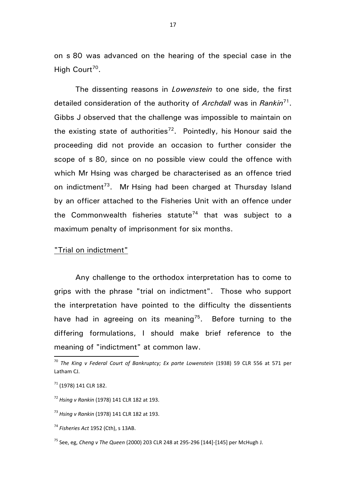on s 80 was advanced on the hearing of the special case in the High Court<sup>70</sup>.

The dissenting reasons in *Lowenstein* to one side, the first detailed consideration of the authority of *Archdall* was in *Rankin*<sup>71</sup> . Gibbs J observed that the challenge was impossible to maintain on the existing state of authorities<sup>72</sup>. Pointedly, his Honour said the proceeding did not provide an occasion to further consider the scope of s 80, since on no possible view could the offence with which Mr Hsing was charged be characterised as an offence tried on indictment<sup>73</sup>. Mr Hsing had been charged at Thursday Island by an officer attached to the Fisheries Unit with an offence under the Commonwealth fisheries statute<sup>74</sup> that was subject to a maximum penalty of imprisonment for six months.

## "Trial on indictment"

Any challenge to the orthodox interpretation has to come to grips with the phrase "trial on indictment". Those who support the interpretation have pointed to the difficulty the dissentients have had in agreeing on its meaning<sup>75</sup>. Before turning to the differing formulations, I should make brief reference to the meaning of "indictment" at common law.

<sup>70</sup> *The King v Federal Court of Bankruptcy; Ex parte Lowenstein* (1938) 59 CLR 556 at 571 per Latham CJ.

<sup>71</sup> (1978) 141 CLR 182.

<sup>72</sup> *Hsing v Rankin* (1978) 141 CLR 182 at 193.

<sup>73</sup> *Hsing v Rankin* (1978) 141 CLR 182 at 193.

<sup>74</sup> *Fisheries Act* 1952 (Cth), s 13AB.

<sup>75</sup> See, eg, *Cheng v The Queen* (2000) 203 CLR 248 at 295-296 [144]-[145] per McHugh J.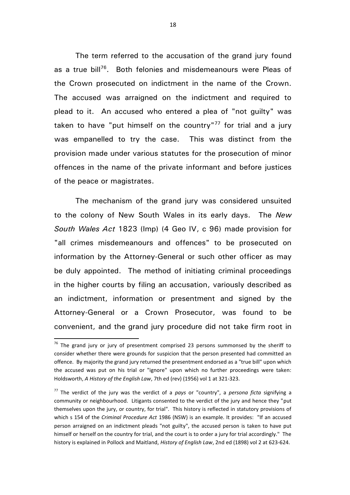The term referred to the accusation of the grand jury found as a true bill<sup>76</sup>. Both felonies and misdemeanours were Pleas of the Crown prosecuted on indictment in the name of the Crown. The accused was arraigned on the indictment and required to plead to it. An accused who entered a plea of "not guilty" was taken to have "put himself on the country"<sup>77</sup> for trial and a jury was empanelled to try the case. This was distinct from the provision made under various statutes for the prosecution of minor offences in the name of the private informant and before justices of the peace or magistrates.

The mechanism of the grand jury was considered unsuited to the colony of New South Wales in its early days. The *New South Wales Act* 1823 (Imp) (4 Geo IV, c 96) made provision for "all crimes misdemeanours and offences" to be prosecuted on information by the Attorney-General or such other officer as may be duly appointed. The method of initiating criminal proceedings in the higher courts by filing an accusation, variously described as an indictment, information or presentment and signed by the Attorney-General or a Crown Prosecutor, was found to be convenient, and the grand jury procedure did not take firm root in

 $76$  The grand jury or jury of presentment comprised 23 persons summonsed by the sheriff to consider whether there were grounds for suspicion that the person presented had committed an offence. By majority the grand jury returned the presentment endorsed as a "true bill" upon which the accused was put on his trial or "ignore" upon which no further proceedings were taken: Holdsworth, *A History of the English Law*, 7th ed (rev) (1956) vol 1 at 321-323.

<sup>77</sup> The verdict of the jury was the verdict of a *pays* or "country", a *persona ficta* signifying a community or neighbourhood. Litigants consented to the verdict of the jury and hence they "put themselves upon the jury, or country, for trial". This history is reflected in statutory provisions of which s 154 of the *Criminal Procedure Act* 1986 (NSW) is an example. It provides: "If an accused person arraigned on an indictment pleads "not guilty", the accused person is taken to have put himself or herself on the country for trial, and the court is to order a jury for trial accordingly." The history is explained in Pollock and Maitland, *History of English Law*, 2nd ed (1898) vol 2 at 623-624.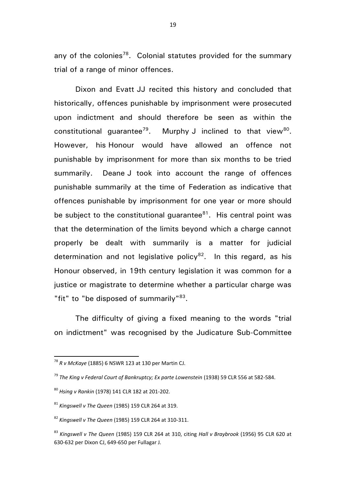any of the colonies<sup>78</sup>. Colonial statutes provided for the summary trial of a range of minor offences.

Dixon and Evatt JJ recited this history and concluded that historically, offences punishable by imprisonment were prosecuted upon indictment and should therefore be seen as within the constitutional guarantee<sup>79</sup>. Murphy J inclined to that view<sup>80</sup>. However, his Honour would have allowed an offence not punishable by imprisonment for more than six months to be tried summarily. Deane J took into account the range of offences punishable summarily at the time of Federation as indicative that offences punishable by imprisonment for one year or more should be subject to the constitutional guarantee $^{81}$ . His central point was that the determination of the limits beyond which a charge cannot properly be dealt with summarily is a matter for judicial determination and not legislative policy<sup>82</sup>. In this regard, as his Honour observed, in 19th century legislation it was common for a justice or magistrate to determine whether a particular charge was "fit" to "be disposed of summarily"<sup>83</sup>.

The difficulty of giving a fixed meaning to the words "trial on indictment" was recognised by the Judicature Sub-Committee

<sup>78</sup> *R v McKaye* (1885) 6 NSWR 123 at 130 per Martin CJ.

<sup>79</sup> *The King v Federal Court of Bankruptcy; Ex parte Lowenstein* (1938) 59 CLR 556 at 582-584.

<sup>80</sup> *Hsing v Rankin* (1978) 141 CLR 182 at 201-202.

<sup>81</sup> *Kingswell v The Queen* (1985) 159 CLR 264 at 319.

<sup>82</sup> *Kingswell v The Queen* (1985) 159 CLR 264 at 310-311.

<sup>83</sup> *Kingswell v The Queen* (1985) 159 CLR 264 at 310, citing *Hall v Braybrook* (1956) 95 CLR 620 at 630-632 per Dixon CJ, 649-650 per Fullagar J.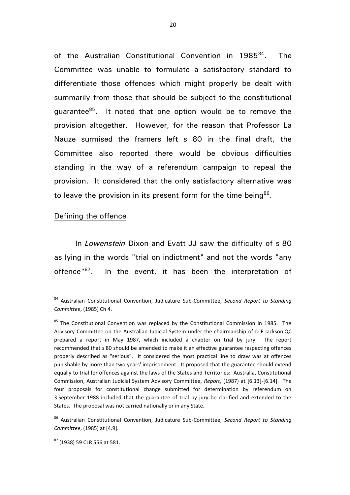of the Australian Constitutional Convention in 1985<sup>84</sup>. . The Committee was unable to formulate a satisfactory standard to differentiate those offences which might properly be dealt with summarily from those that should be subject to the constitutional guarantee<sup>85</sup>. It noted that one option would be to remove the provision altogether. However, for the reason that Professor La Nauze surmised the framers left s 80 in the final draft, the Committee also reported there would be obvious difficulties standing in the way of a referendum campaign to repeal the provision. It considered that the only satisfactory alternative was to leave the provision in its present form for the time being $86$ .

## Defining the offence

 $\overline{a}$ 

In *Lowenstein* Dixon and Evatt JJ saw the difficulty of s 80 as lying in the words "trial on indictment" and not the words "any offence"<sup>87</sup>. In the event, it has been the interpretation of

<sup>84</sup> Australian Constitutional Convention, Judicature Sub-Committee, *Second Report to Standing Committee*, (1985) Ch 4.

<sup>&</sup>lt;sup>85</sup> The Constitutional Convention was replaced by the Constitutional Commission in 1985. The Advisory Committee on the Australian Judicial System under the chairmanship of D F Jackson QC prepared a report in May 1987, which included a chapter on trial by jury. The report recommended that s 80 should be amended to make it an effective guarantee respecting offences properly described as "serious". It considered the most practical line to draw was at offences punishable by more than two years' imprisonment. It proposed that the guarantee should extend equally to trial for offences against the laws of the States and Territories: Australia, Constitutional Commission, Australian Judicial System Advisory Committee, *Report*, (1987) at [6.13]-[6.14]. The four proposals for constitutional change submitted for determination by referendum on 3 September 1988 included that the guarantee of trial by jury be clarified and extended to the States. The proposal was not carried nationally or in any State.

<sup>86</sup> Australian Constitutional Convention, Judicature Sub-Committee, *Second Report to Standing Committee*, (1985) at [4.9].

<sup>87</sup> (1938) 59 CLR 556 at 581.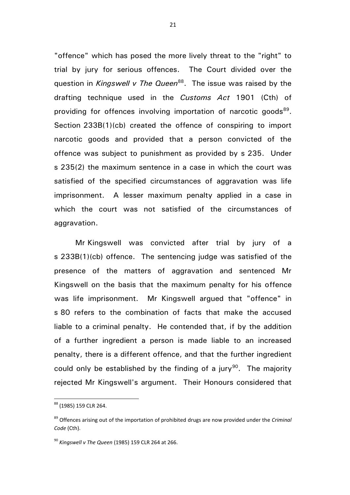"offence" which has posed the more lively threat to the "right" to trial by jury for serious offences. The Court divided over the question in *Kingswell v The Queen*<sup>88</sup>. The issue was raised by the drafting technique used in the *Customs Act* 1901 (Cth) of providing for offences involving importation of narcotic goods<sup>89</sup>. Section 233B(1)(cb) created the offence of conspiring to import narcotic goods and provided that a person convicted of the offence was subject to punishment as provided by s 235. Under s 235(2) the maximum sentence in a case in which the court was satisfied of the specified circumstances of aggravation was life imprisonment. A lesser maximum penalty applied in a case in which the court was not satisfied of the circumstances of aggravation.

Mr Kingswell was convicted after trial by jury of a s 233B(1)(cb) offence. The sentencing judge was satisfied of the presence of the matters of aggravation and sentenced Mr Kingswell on the basis that the maximum penalty for his offence was life imprisonment. Mr Kingswell argued that "offence" in s 80 refers to the combination of facts that make the accused liable to a criminal penalty. He contended that, if by the addition of a further ingredient a person is made liable to an increased penalty, there is a different offence, and that the further ingredient could only be established by the finding of a jury<sup>90</sup>. The majority rejected Mr Kingswell's argument. Their Honours considered that

<sup>88</sup> (1985) 159 CLR 264.

<sup>89</sup> Offences arising out of the importation of prohibited drugs are now provided under the *Criminal Code* (Cth).

<sup>90</sup> *Kingswell v The Queen* (1985) 159 CLR 264 at 266.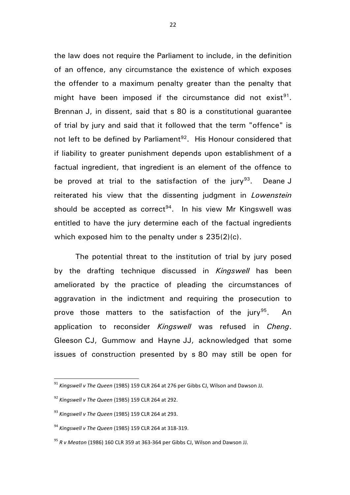the law does not require the Parliament to include, in the definition of an offence, any circumstance the existence of which exposes the offender to a maximum penalty greater than the penalty that might have been imposed if the circumstance did not exist $91$ . Brennan J, in dissent, said that s 80 is a constitutional guarantee of trial by jury and said that it followed that the term "offence" is not left to be defined by Parliament<sup>92</sup>. His Honour considered that if liability to greater punishment depends upon establishment of a factual ingredient, that ingredient is an element of the offence to be proved at trial to the satisfaction of the jury<sup>93</sup>. . Deane J reiterated his view that the dissenting judgment in *Lowenstein* should be accepted as correct<sup>94</sup>. In his view Mr Kingswell was entitled to have the jury determine each of the factual ingredients which exposed him to the penalty under s  $235(2)(c)$ .

The potential threat to the institution of trial by jury posed by the drafting technique discussed in *Kingswell* has been ameliorated by the practice of pleading the circumstances of aggravation in the indictment and requiring the prosecution to prove those matters to the satisfaction of the jury<sup>95</sup>. . An application to reconsider *Kingswell* was refused in *Cheng*. Gleeson CJ, Gummow and Hayne JJ, acknowledged that some issues of construction presented by s 80 may still be open for

<sup>91</sup> *Kingswell v The Queen* (1985) 159 CLR 264 at 276 per Gibbs CJ, Wilson and Dawson JJ.

<sup>92</sup> *Kingswell v The Queen* (1985) 159 CLR 264 at 292.

<sup>93</sup> *Kingswell v The Queen* (1985) 159 CLR 264 at 293.

<sup>94</sup> *Kingswell v The Queen* (1985) 159 CLR 264 at 318-319.

<sup>95</sup> *R v Meaton* (1986) 160 CLR 359 at 363-364 per Gibbs CJ, Wilson and Dawson JJ.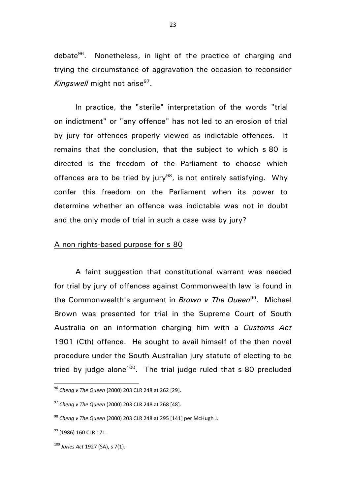debate<sup>96</sup>. Nonetheless, in light of the practice of charging and trying the circumstance of aggravation the occasion to reconsider Kingswell might not arise<sup>97</sup>.

In practice, the "sterile" interpretation of the words "trial on indictment" or "any offence" has not led to an erosion of trial by jury for offences properly viewed as indictable offences. It remains that the conclusion, that the subject to which s 80 is directed is the freedom of the Parliament to choose which offences are to be tried by jury<sup>98</sup>, is not entirely satisfying. Why confer this freedom on the Parliament when its power to determine whether an offence was indictable was not in doubt and the only mode of trial in such a case was by jury?

## A non rights-based purpose for s 80

A faint suggestion that constitutional warrant was needed for trial by jury of offences against Commonwealth law is found in the Commonwealth's argument in *Brown v The Queen*<sup>99</sup>. Michael Brown was presented for trial in the Supreme Court of South Australia on an information charging him with a *Customs Act* 1901 (Cth) offence. He sought to avail himself of the then novel procedure under the South Australian jury statute of electing to be tried by judge alone<sup>100</sup>. The trial judge ruled that  $s$  80 precluded

<sup>96</sup> *Cheng v The Queen* (2000) 203 CLR 248 at 262 [29].

<sup>97</sup> *Cheng v The Queen* (2000) 203 CLR 248 at 268 [48].

<sup>98</sup> *Cheng v The Queen* (2000) 203 CLR 248 at 295 [141] per McHugh J.

<sup>&</sup>lt;sup>99</sup> (1986) 160 CLR 171.

<sup>100</sup> *Juries Act* 1927 (SA), s 7(1).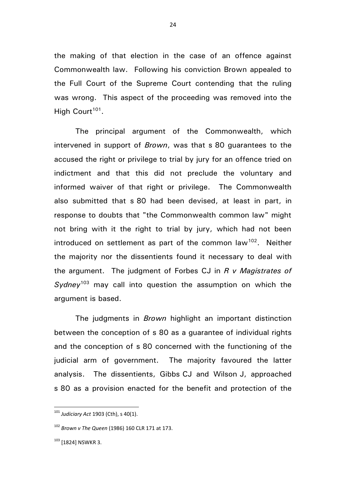the making of that election in the case of an offence against Commonwealth law. Following his conviction Brown appealed to the Full Court of the Supreme Court contending that the ruling was wrong. This aspect of the proceeding was removed into the High Court<sup>101</sup>.

The principal argument of the Commonwealth, which intervened in support of *Brown*, was that s 80 guarantees to the accused the right or privilege to trial by jury for an offence tried on indictment and that this did not preclude the voluntary and informed waiver of that right or privilege. The Commonwealth also submitted that s 80 had been devised, at least in part, in response to doubts that "the Commonwealth common law" might not bring with it the right to trial by jury, which had not been introduced on settlement as part of the common law<sup>102</sup>. Neither the majority nor the dissentients found it necessary to deal with the argument. The judgment of Forbes CJ in *R v Magistrates of Sydney*<sup>103</sup> may call into question the assumption on which the argument is based.

The judgments in *Brown* highlight an important distinction between the conception of s 80 as a guarantee of individual rights and the conception of s 80 concerned with the functioning of the judicial arm of government. The majority favoured the latter analysis. The dissentients, Gibbs CJ and Wilson J, approached s 80 as a provision enacted for the benefit and protection of the

<sup>101</sup> *Judiciary Act* 1903 (Cth), s 40(1).

<sup>102</sup> *Brown v The Queen* (1986) 160 CLR 171 at 173.

 $103$  [1824] NSWKR 3.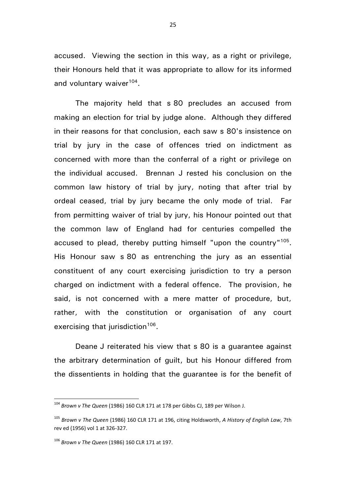accused. Viewing the section in this way, as a right or privilege, their Honours held that it was appropriate to allow for its informed and voluntary waiver<sup>104</sup>.

The majority held that s 80 precludes an accused from making an election for trial by judge alone. Although they differed in their reasons for that conclusion, each saw s 80's insistence on trial by jury in the case of offences tried on indictment as concerned with more than the conferral of a right or privilege on the individual accused. Brennan J rested his conclusion on the common law history of trial by jury, noting that after trial by ordeal ceased, trial by jury became the only mode of trial. Far from permitting waiver of trial by jury, his Honour pointed out that the common law of England had for centuries compelled the accused to plead, thereby putting himself "upon the country"<sup>105</sup>. His Honour saw s 80 as entrenching the jury as an essential constituent of any court exercising jurisdiction to try a person charged on indictment with a federal offence. The provision, he said, is not concerned with a mere matter of procedure, but, rather, with the constitution or organisation of any court exercising that jurisdiction<sup>106</sup>.

Deane J reiterated his view that s 80 is a guarantee against the arbitrary determination of guilt, but his Honour differed from the dissentients in holding that the guarantee is for the benefit of

<sup>104</sup> *Brown v The Queen* (1986) 160 CLR 171 at 178 per Gibbs CJ, 189 per Wilson J.

<sup>105</sup> *Brown v The Queen* (1986) 160 CLR 171 at 196, citing Holdsworth, *A History of English Law*, 7th rev ed (1956) vol 1 at 326-327.

<sup>106</sup> *Brown v The Queen* (1986) 160 CLR 171 at 197.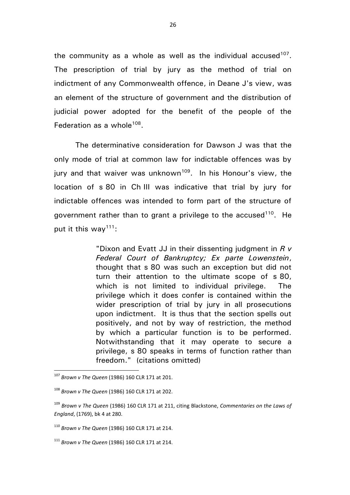the community as a whole as well as the individual accused<sup>107</sup>. The prescription of trial by jury as the method of trial on indictment of any Commonwealth offence, in Deane J's view, was an element of the structure of government and the distribution of judicial power adopted for the benefit of the people of the Federation as a whole<sup>108</sup>.

The determinative consideration for Dawson J was that the only mode of trial at common law for indictable offences was by jury and that waiver was unknown<sup>109</sup>. In his Honour's view, the location of s 80 in Ch III was indicative that trial by jury for indictable offences was intended to form part of the structure of government rather than to grant a privilege to the accused<sup>110</sup>. He put it this way<sup>111</sup>:

> "Dixon and Evatt JJ in their dissenting judgment in *R v Federal Court of Bankruptcy; Ex parte Lowenstein*, thought that s 80 was such an exception but did not turn their attention to the ultimate scope of s 80, which is not limited to individual privilege. The privilege which it does confer is contained within the wider prescription of trial by jury in all prosecutions upon indictment. It is thus that the section spells out positively, and not by way of restriction, the method by which a particular function is to be performed. Notwithstanding that it may operate to secure a privilege, s 80 speaks in terms of function rather than freedom." (citations omitted)

<sup>107</sup> *Brown v The Queen* (1986) 160 CLR 171 at 201.

<sup>108</sup> *Brown v The Queen* (1986) 160 CLR 171 at 202.

<sup>109</sup> *Brown v The Queen* (1986) 160 CLR 171 at 211, citing Blackstone, *Commentaries on the Laws of England*, (1769), bk 4 at 280.

<sup>110</sup> *Brown v The Queen* (1986) 160 CLR 171 at 214.

<sup>111</sup> *Brown v The Queen* (1986) 160 CLR 171 at 214.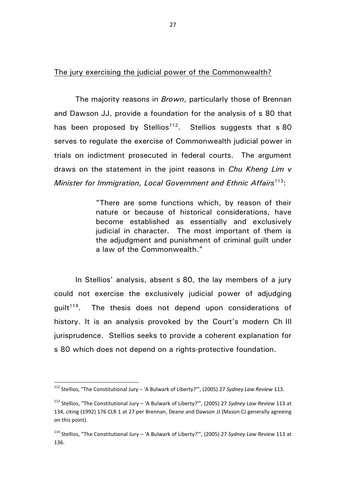The jury exercising the judicial power of the Commonwealth?

The majority reasons in *Brown*, particularly those of Brennan and Dawson JJ, provide a foundation for the analysis of s 80 that has been proposed by Stellios<sup>112</sup>. Stellios suggests that s 80 serves to regulate the exercise of Commonwealth judicial power in trials on indictment prosecuted in federal courts. The argument draws on the statement in the joint reasons in *Chu Kheng Lim v Minister for Immigration, Local Government and Ethnic Affairs*<sup>113</sup>:

> "There are some functions which, by reason of their nature or because of historical considerations, have become established as essentially and exclusively judicial in character. The most important of them is the adjudgment and punishment of criminal guilt under a law of the Commonwealth."

In Stellios' analysis, absent s 80, the lay members of a jury could not exercise the exclusively judicial power of adjudging quilt $^{114}$ . The thesis does not depend upon considerations of history. It is an analysis provoked by the Court's modern Ch III jurisprudence. Stellios seeks to provide a coherent explanation for s 80 which does not depend on a rights-protective foundation.

<sup>112</sup> Stellios, "The Constitutional Jury – 'A Bulwark of Liberty?'", (2005) 27 *Sydney Law Review* 113.

<sup>113</sup> Stellios, "The Constitutional Jury – 'A Bulwark of Liberty?'", (2005) 27 *Sydney Law Review* 113 at 134, citing (1992) 176 CLR 1 at 27 per Brennan, Deane and Dawson JJ (Mason CJ generally agreeing on this point).

<sup>114</sup> Stellios, "The Constitutional Jury – 'A Bulwark of Liberty?'", (2005) 27 *Sydney Law Review* 113 at 136.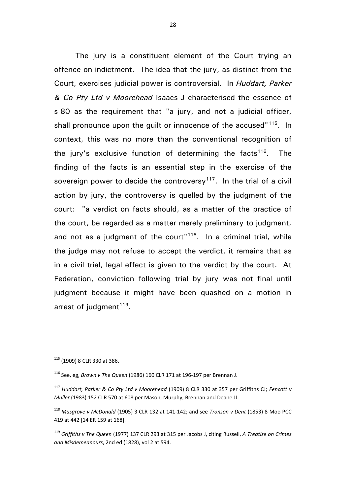The jury is a constituent element of the Court trying an offence on indictment. The idea that the jury, as distinct from the Court, exercises judicial power is controversial. In *Huddart, Parker & Co Pty Ltd v Moorehead* Isaacs J characterised the essence of s 80 as the requirement that "a jury, and not a judicial officer, shall pronounce upon the quilt or innocence of the accused<sup>"115</sup>. In context, this was no more than the conventional recognition of the jury's exclusive function of determining the facts<sup>116</sup>. . The finding of the facts is an essential step in the exercise of the sovereign power to decide the controversy<sup>117</sup>. In the trial of a civil action by jury, the controversy is quelled by the judgment of the court: "a verdict on facts should, as a matter of the practice of the court, be regarded as a matter merely preliminary to judgment, and not as a judgment of the court" $118$ . In a criminal trial, while the judge may not refuse to accept the verdict, it remains that as in a civil trial, legal effect is given to the verdict by the court. At Federation, conviction following trial by jury was not final until judgment because it might have been quashed on a motion in arrest of judgment<sup>119</sup>.

 $\overline{a}$ <sup>115</sup> (1909) 8 CLR 330 at 386.

<sup>116</sup> See, eg, *Brown v The Queen* (1986) 160 CLR 171 at 196-197 per Brennan J.

<sup>117</sup> *Huddart, Parker & Co Pty Ltd v Moorehead* (1909) 8 CLR 330 at 357 per Griffiths CJ; *Fencott v Muller* (1983) 152 CLR 570 at 608 per Mason, Murphy, Brennan and Deane JJ.

<sup>118</sup> *Musgrove v McDonald* (1905) 3 CLR 132 at 141-142; and see *Tronson v Dent* (1853) 8 Moo PCC 419 at 442 [14 ER 159 at 168].

<sup>119</sup> *Griffiths v The Queen* (1977) 137 CLR 293 at 315 per Jacobs J, citing Russell, *A Treatise on Crimes and Misdemeanours*, 2nd ed (1828), vol 2 at 594.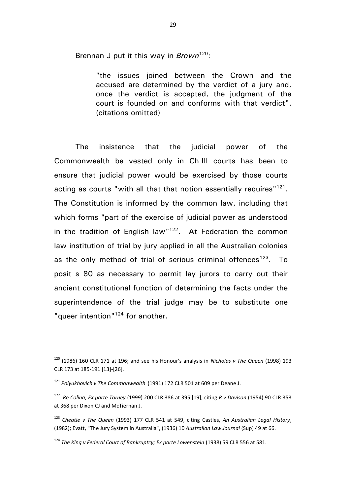Brennan J put it this way in *Brown*<sup>120</sup>:

"the issues joined between the Crown and the accused are determined by the verdict of a jury and, once the verdict is accepted, the judgment of the court is founded on and conforms with that verdict". (citations omitted)

The insistence that the judicial power of the Commonwealth be vested only in Ch III courts has been to ensure that judicial power would be exercised by those courts acting as courts "with all that that notion essentially requires"<sup>121</sup>. The Constitution is informed by the common law, including that which forms "part of the exercise of judicial power as understood in the tradition of English law" $122$ . At Federation the common law institution of trial by jury applied in all the Australian colonies as the only method of trial of serious criminal offences<sup>123</sup>. To posit s 80 as necessary to permit lay jurors to carry out their ancient constitutional function of determining the facts under the superintendence of the trial judge may be to substitute one "queer intention"<sup>124</sup> for another.

<sup>120</sup> (1986) 160 CLR 171 at 196; and see his Honour's analysis in *Nicholas v The Queen* (1998) 193 CLR 173 at 185-191 [13]-[26].

<sup>121</sup> *Polyukhovich v The Commonwealth* (1991) 172 CLR 501 at 609 per Deane J.

<sup>122</sup> *Re Colina; Ex parte Torney* (1999) 200 CLR 386 at 395 [19], citing *R v Davison* (1954) 90 CLR 353 at 368 per Dixon CJ and McTiernan J.

<sup>123</sup> *Cheatle v The Queen* (1993) 177 CLR 541 at 549, citing Castles, *An Australian Legal History*, (1982); Evatt, "The Jury System in Australia", (1936) 10 *Australian Law Journal* (Sup) 49 at 66.

<sup>124</sup> *The King v Federal Court of Bankruptcy; Ex parte Lowenstein* (1938) 59 CLR 556 at 581.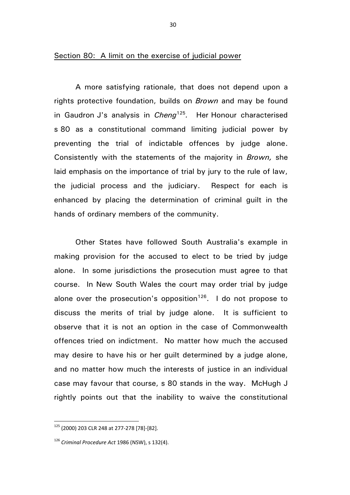Section 80: A limit on the exercise of judicial power

A more satisfying rationale, that does not depend upon a rights protective foundation, builds on *Brown* and may be found in Gaudron J's analysis in *Cheng*<sup>125</sup> *.* Her Honour characterised s 80 as a constitutional command limiting judicial power by preventing the trial of indictable offences by judge alone. Consistently with the statements of the majority in *Brown,* she laid emphasis on the importance of trial by jury to the rule of law, the judicial process and the judiciary. Respect for each is enhanced by placing the determination of criminal guilt in the hands of ordinary members of the community.

Other States have followed South Australia's example in making provision for the accused to elect to be tried by judge alone. In some jurisdictions the prosecution must agree to that course. In New South Wales the court may order trial by judge alone over the prosecution's opposition<sup>126</sup>. I do not propose to discuss the merits of trial by judge alone. It is sufficient to observe that it is not an option in the case of Commonwealth offences tried on indictment. No matter how much the accused may desire to have his or her guilt determined by a judge alone, and no matter how much the interests of justice in an individual case may favour that course, s 80 stands in the way. McHugh J rightly points out that the inability to waive the constitutional

<sup>125</sup> (2000) 203 CLR 248 at 277-278 [78]-[82].

<sup>126</sup> *Criminal Procedure Act* 1986 (NSW), s 132(4).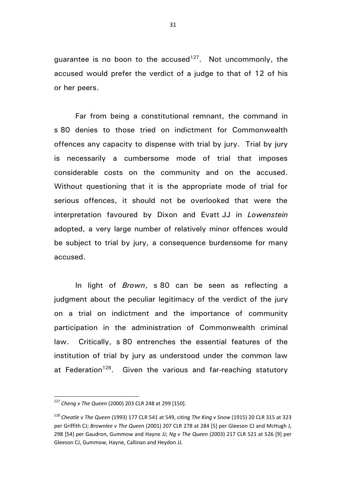guarantee is no boon to the accused<sup>127</sup>. Not uncommonly, the accused would prefer the verdict of a judge to that of 12 of his or her peers.

Far from being a constitutional remnant, the command in s 80 denies to those tried on indictment for Commonwealth offences any capacity to dispense with trial by jury. Trial by jury is necessarily a cumbersome mode of trial that imposes considerable costs on the community and on the accused. Without questioning that it is the appropriate mode of trial for serious offences, it should not be overlooked that were the interpretation favoured by Dixon and Evatt JJ in *Lowenstein* adopted, a very large number of relatively minor offences would be subject to trial by jury, a consequence burdensome for many accused.

In light of *Brown*, s 80 can be seen as reflecting a judgment about the peculiar legitimacy of the verdict of the jury on a trial on indictment and the importance of community participation in the administration of Commonwealth criminal law. Critically, s 80 entrenches the essential features of the institution of trial by jury as understood under the common law at Federation<sup>128</sup>. Given the various and far-reaching statutory

<sup>127</sup> *Cheng v The Queen* (2000) 203 CLR 248 at 299 [150].

<sup>128</sup> *Cheatle v The Queen* (1993) 177 CLR 541 at 549, citing *The King v Snow* (1915) 20 CLR 315 at 323 per Griffith CJ; *Brownlee v The Queen* (2001) 207 CLR 278 at 284 [5] per Gleeson CJ and McHugh J, 298 [54] per Gaudron, Gummow and Hayne JJ; *Ng v The Queen* (2003) 217 CLR 521 at 526 [9] per Gleeson CJ, Gummow, Hayne, Callinan and Heydon JJ.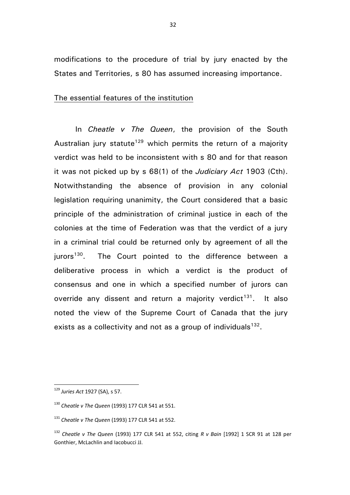modifications to the procedure of trial by jury enacted by the States and Territories, s 80 has assumed increasing importance.

## The essential features of the institution

In *Cheatle v The Queen*, the provision of the South Australian jury statute<sup>129</sup> which permits the return of a majority verdict was held to be inconsistent with s 80 and for that reason it was not picked up by s 68(1) of the *Judiciary Act* 1903 (Cth). Notwithstanding the absence of provision in any colonial legislation requiring unanimity, the Court considered that a basic principle of the administration of criminal justice in each of the colonies at the time of Federation was that the verdict of a jury in a criminal trial could be returned only by agreement of all the  $i$ urors<sup>130</sup>. The Court pointed to the difference between a deliberative process in which a verdict is the product of consensus and one in which a specified number of jurors can override any dissent and return a majority verdict<sup>131</sup>. It also noted the view of the Supreme Court of Canada that the jury exists as a collectivity and not as a group of individuals $^{132}$ .

<sup>129</sup> *Juries Act* 1927 (SA), s 57.

<sup>130</sup> *Cheatle v The Queen* (1993) 177 CLR 541 at 551.

<sup>131</sup> *Cheatle v The Queen* (1993) 177 CLR 541 at 552.

<sup>132</sup> *Cheatle v The Queen* (1993) 177 CLR 541 at 552, citing *R v Bain* [1992] 1 SCR 91 at 128 per Gonthier, McLachlin and Iacobucci JJ.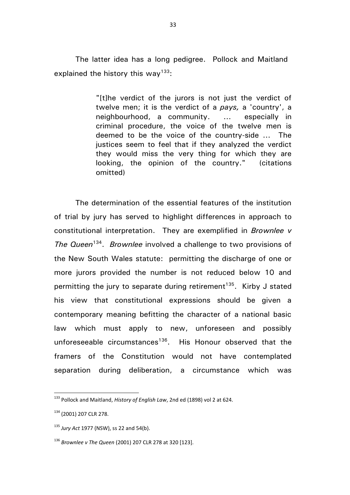The latter idea has a long pedigree. Pollock and Maitland explained the history this way<sup>133</sup>:

> "[t]he verdict of the jurors is not just the verdict of twelve men; it is the verdict of a *pays,* a 'country', a neighbourhood, a community. ... especially in criminal procedure, the voice of the twelve men is deemed to be the voice of the country-side ... The justices seem to feel that if they analyzed the verdict they would miss the very thing for which they are looking, the opinion of the country." (citations omitted)

The determination of the essential features of the institution of trial by jury has served to highlight differences in approach to constitutional interpretation. They are exemplified in *Brownlee v*  The Queen<sup>134</sup>. Brownlee involved a challenge to two provisions of the New South Wales statute: permitting the discharge of one or more jurors provided the number is not reduced below 10 and permitting the jury to separate during retirement<sup>135</sup>. Kirby J stated his view that constitutional expressions should be given a contemporary meaning befitting the character of a national basic law which must apply to new, unforeseen and possibly unforeseeable circumstances<sup>136</sup>. His Honour observed that the framers of the Constitution would not have contemplated separation during deliberation, a circumstance which was

<sup>133</sup> Pollock and Maitland, *History of English Law*, 2nd ed (1898) vol 2 at 624.

<sup>134</sup> (2001) 207 CLR 278.

<sup>135</sup> *Jury Act* 1977 (NSW), ss 22 and 54(b).

<sup>136</sup> *Brownlee v The Queen* (2001) 207 CLR 278 at 320 [123].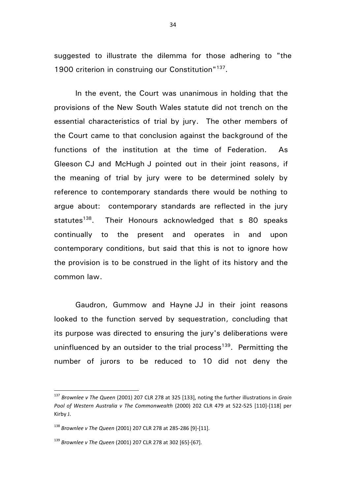suggested to illustrate the dilemma for those adhering to "the 1900 criterion in construing our Constitution"<sup>137</sup>.

In the event, the Court was unanimous in holding that the provisions of the New South Wales statute did not trench on the essential characteristics of trial by jury. The other members of the Court came to that conclusion against the background of the functions of the institution at the time of Federation. As Gleeson CJ and McHugh J pointed out in their joint reasons, if the meaning of trial by jury were to be determined solely by reference to contemporary standards there would be nothing to argue about: contemporary standards are reflected in the jury statutes<sup>138</sup>. Their Honours acknowledged that s 80 speaks continually to the present and operates in and upon contemporary conditions, but said that this is not to ignore how the provision is to be construed in the light of its history and the common law.

Gaudron, Gummow and Hayne JJ in their joint reasons looked to the function served by sequestration, concluding that its purpose was directed to ensuring the jury's deliberations were uninfluenced by an outsider to the trial process<sup>139</sup>. Permitting the number of jurors to be reduced to 10 did not deny the

<sup>137</sup> *Brownlee v The Queen* (2001) 207 CLR 278 at 325 [133], noting the further illustrations in *Grain Pool of Western Australia v The Commonwealth* (2000) 202 CLR 479 at 522-525 [110]-[118] per Kirby J.

<sup>138</sup> *Brownlee v The Queen* (2001) 207 CLR 278 at 285-286 [9]-[11].

<sup>139</sup> *Brownlee v The Queen* (2001) 207 CLR 278 at 302 [65]-[67].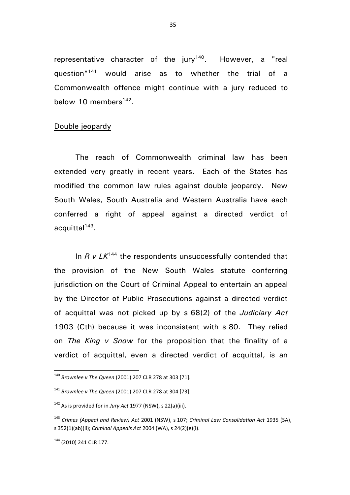representative character of the jury<sup>140</sup>. However, a "real question"<sup>141</sup> would arise as to whether the trial of a Commonwealth offence might continue with a jury reduced to below 10 members<sup>142</sup>.

## Double jeopardy

The reach of Commonwealth criminal law has been extended very greatly in recent years. Each of the States has modified the common law rules against double jeopardy. New South Wales, South Australia and Western Australia have each conferred a right of appeal against a directed verdict of acquittal<sup>143</sup>.

In *R v LK*<sup>144</sup> the respondents unsuccessfully contended that the provision of the New South Wales statute conferring jurisdiction on the Court of Criminal Appeal to entertain an appeal by the Director of Public Prosecutions against a directed verdict of acquittal was not picked up by s 68(2) of the *Judiciary Act* 1903 (Cth) because it was inconsistent with s 80. They relied on *The King v Snow* for the proposition that the finality of a verdict of acquittal, even a directed verdict of acquittal, is an

<sup>140</sup> *Brownlee v The Queen* (2001) 207 CLR 278 at 303 [71].

<sup>141</sup> *Brownlee v The Queen* (2001) 207 CLR 278 at 304 [73].

<sup>142</sup> As is provided for in *Jury Act* 1977 (NSW), s 22(a)(iii).

<sup>143</sup> *Crimes (Appeal and Review) Act* 2001 (NSW), s 107; *Criminal Law Consolidation Act* 1935 (SA), s 352(1)(ab)(ii); *Criminal Appeals Act* 2004 (WA), s 24(2)(e)(i).

<sup>144</sup> (2010) 241 CLR 177.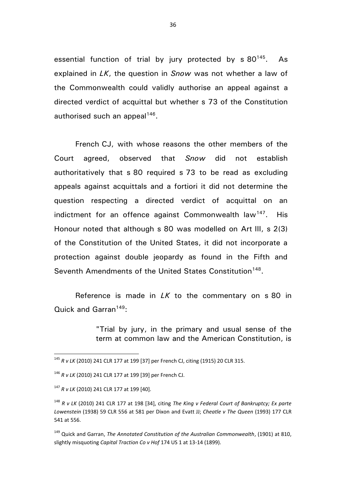essential function of trial by jury protected by  $s$  80<sup>145</sup>. As explained in *LK*, the question in *Snow* was not whether a law of the Commonwealth could validly authorise an appeal against a directed verdict of acquittal but whether s 73 of the Constitution authorised such an appeal<sup>146</sup>.

French CJ, with whose reasons the other members of the Court agreed, observed that *Snow* did not establish authoritatively that s 80 required s 73 to be read as excluding appeals against acquittals and a fortiori it did not determine the question respecting a directed verdict of acquittal on an indictment for an offence against Commonwealth law<sup>147</sup>. His Honour noted that although s 80 was modelled on Art III, s 2(3) of the Constitution of the United States, it did not incorporate a protection against double jeopardy as found in the Fifth and Seventh Amendments of the United States Constitution<sup>148</sup>.

Reference is made in *LK* to the commentary on s 80 in Quick and Garran<sup>149</sup>:

> "Trial by jury, in the primary and usual sense of the term at common law and the American Constitution, is

 $\overline{a}$ 

<sup>149</sup> Quick and Garran, *The Annotated Constitution of the Australian Commonwealth*, (1901) at 810, slightly misquoting *Capital Traction Co v Hof* 174 US 1 at 13-14 (1899).

<sup>145</sup> *R v LK* (2010) 241 CLR 177 at 199 [37] per French CJ, citing (1915) 20 CLR 315.

<sup>146</sup> *R v LK* (2010) 241 CLR 177 at 199 [39] per French CJ.

<sup>147</sup> *R v LK* (2010) 241 CLR 177 at 199 [40].

<sup>148</sup> *R v LK* (2010) 241 CLR 177 at 198 [34], citing *The King v Federal Court of Bankruptcy; Ex parte Lowenstein* (1938) 59 CLR 556 at 581 per Dixon and Evatt JJ; *Cheatle v The Queen* (1993) 177 CLR 541 at 556.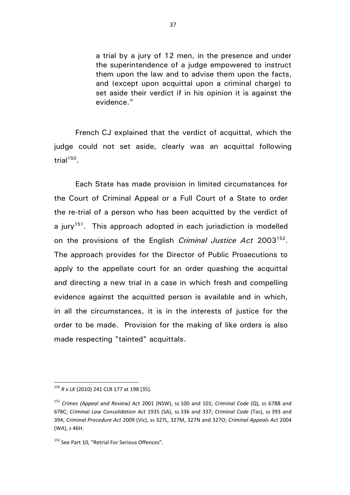a trial by a jury of 12 men, in the presence and under the superintendence of a judge empowered to instruct them upon the law and to advise them upon the facts, and (except upon acquittal upon a criminal charge) to set aside their verdict if in his opinion it is against the evidence."

French CJ explained that the verdict of acquittal, which the judge could not set aside, clearly was an acquittal following trial<sup>150</sup>.

Each State has made provision in limited circumstances for the Court of Criminal Appeal or a Full Court of a State to order the re-trial of a person who has been acquitted by the verdict of a jury<sup>151</sup>. This approach adopted in each jurisdiction is modelled on the provisions of the English *Criminal Justice Act* 2003<sup>152</sup>. The approach provides for the Director of Public Prosecutions to apply to the appellate court for an order quashing the acquittal and directing a new trial in a case in which fresh and compelling evidence against the acquitted person is available and in which, in all the circumstances, it is in the interests of justice for the order to be made. Provision for the making of like orders is also made respecting "tainted" acquittals.

<sup>150</sup> *R v LK* (2010) 241 CLR 177 at 198 [35].

<sup>151</sup> *Crimes (Appeal and Review) Act* 2001 (NSW), ss 100 and 101; *Criminal Code* (Q), ss 678B and 678C; *Criminal Law Consolidation Act* 1935 (SA), ss 336 and 337; *Criminal Code* (Tas), ss 393 and 394; *Criminal Procedure Act* 2009 (Vic), ss 327L, 327M, 327N and 327O; *Criminal Appeals Act* 2004 (WA), s 46H.

<sup>&</sup>lt;sup>152</sup> See Part 10, "Retrial For Serious Offences".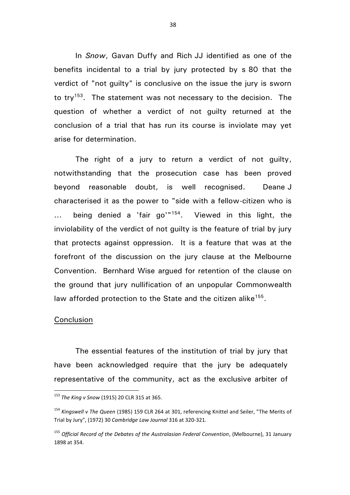In *Snow*, Gavan Duffy and Rich JJ identified as one of the benefits incidental to a trial by jury protected by s 80 that the verdict of "not guilty" is conclusive on the issue the jury is sworn to try<sup>153</sup>. The statement was not necessary to the decision. The question of whether a verdict of not guilty returned at the conclusion of a trial that has run its course is inviolate may yet arise for determination.

The right of a jury to return a verdict of not guilty, notwithstanding that the prosecution case has been proved beyond reasonable doubt, is well recognised. Deane J characterised it as the power to "side with a fellow-citizen who is ... being denied a 'fair go'"<sup>154</sup>. . Viewed in this light, the inviolability of the verdict of not guilty is the feature of trial by jury that protects against oppression. It is a feature that was at the forefront of the discussion on the jury clause at the Melbourne Convention. Bernhard Wise argued for retention of the clause on the ground that jury nullification of an unpopular Commonwealth law afforded protection to the State and the citizen alike<sup>155</sup>.

## **Conclusion**

 $\overline{a}$ 

The essential features of the institution of trial by jury that have been acknowledged require that the jury be adequately representative of the community, act as the exclusive arbiter of

<sup>153</sup> *The King v Snow* (1915) 20 CLR 315 at 365.

<sup>154</sup> *Kingswell v The Queen* (1985) 159 CLR 264 at 301, referencing Knittel and Seiler, "The Merits of Trial by Jury", (1972) 30 *Cambridge Law Journal* 316 at 320-321.

<sup>155</sup> *Official Record of the Debates of the Australasian Federal Convention*, (Melbourne), 31 January 1898 at 354.